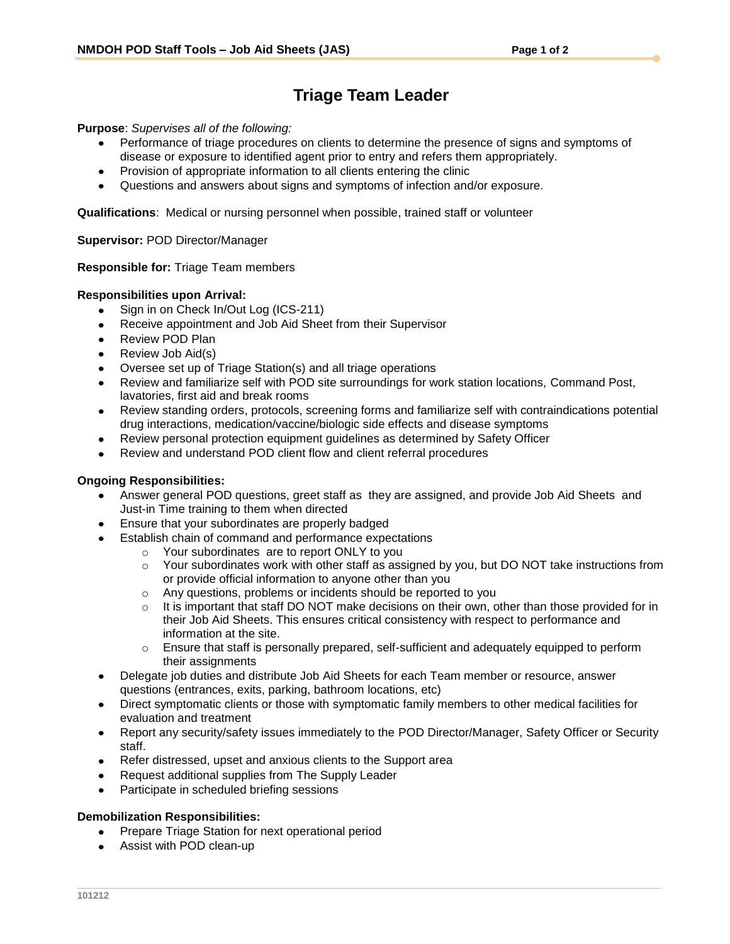# **Triage Team Leader**

**Purpose**: *Supervises all of the following:*

- Performance of triage procedures on clients to determine the presence of signs and symptoms of disease or exposure to identified agent prior to entry and refers them appropriately.
- Provision of appropriate information to all clients entering the clinic
- Questions and answers about signs and symptoms of infection and/or exposure.

**Qualifications**:Medical or nursing personnel when possible, trained staff or volunteer

**Supervisor:** POD Director/Manager

### **Responsible for:** Triage Team members

### **Responsibilities upon Arrival:**

- Sign in on Check In/Out Log (ICS-211)  $\bullet$
- Receive appointment and Job Aid Sheet from their Supervisor
- Review POD Plan
- Review Job Aid(s)
- Oversee set up of Triage Station(s) and all triage operations
- Review and familiarize self with POD site surroundings for work station locations, Command Post, lavatories, first aid and break rooms
- Review standing orders, protocols, screening forms and familiarize self with contraindications potential drug interactions, medication/vaccine/biologic side effects and disease symptoms
- Review personal protection equipment guidelines as determined by Safety Officer
- Review and understand POD client flow and client referral procedures

## **Ongoing Responsibilities:**

- Answer general POD questions, greet staff as they are assigned, and provide Job Aid Sheets and Just-in Time training to them when directed
- Ensure that your subordinates are properly badged
- Establish chain of command and performance expectations
	- o Your subordinates are to report ONLY to you
	- $\circ$  Your subordinates work with other staff as assigned by you, but DO NOT take instructions from or provide official information to anyone other than you
	- o Any questions, problems or incidents should be reported to you
	- $\circ$  It is important that staff DO NOT make decisions on their own, other than those provided for in their Job Aid Sheets. This ensures critical consistency with respect to performance and information at the site.
	- $\circ$  Ensure that staff is personally prepared, self-sufficient and adequately equipped to perform their assignments
- Delegate job duties and distribute Job Aid Sheets for each Team member or resource, answer questions (entrances, exits, parking, bathroom locations, etc)
- Direct symptomatic clients or those with symptomatic family members to other medical facilities for evaluation and treatment
- Report any security/safety issues immediately to the POD Director/Manager, Safety Officer or Security staff.
- Refer distressed, upset and anxious clients to the Support area
- Request additional supplies from The Supply Leader
- Participate in scheduled briefing sessions

## **Demobilization Responsibilities:**

- $\bullet$ Prepare Triage Station for next operational period
- Assist with POD clean-up